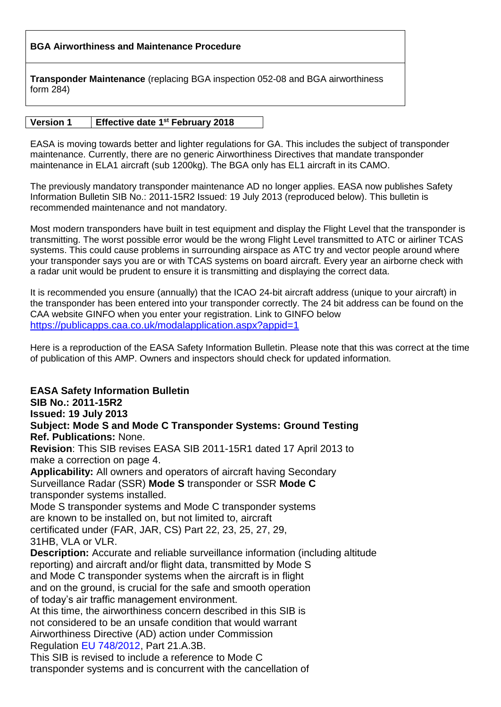## **BGA Airworthiness and Maintenance Procedure**

**Transponder Maintenance** (replacing BGA inspection 052-08 and BGA airworthiness form 284)

## **Version 1 Effective date 1 st February 2018**

EASA is moving towards better and lighter regulations for GA. This includes the subject of transponder maintenance. Currently, there are no generic Airworthiness Directives that mandate transponder maintenance in ELA1 aircraft (sub 1200kg). The BGA only has EL1 aircraft in its CAMO.

The previously mandatory transponder maintenance AD no longer applies. EASA now publishes Safety Information Bulletin SIB No.: 2011-15R2 Issued: 19 July 2013 (reproduced below). This bulletin is recommended maintenance and not mandatory.

Most modern transponders have built in test equipment and display the Flight Level that the transponder is transmitting. The worst possible error would be the wrong Flight Level transmitted to ATC or airliner TCAS systems. This could cause problems in surrounding airspace as ATC try and vector people around where your transponder says you are or with TCAS systems on board aircraft. Every year an airborne check with a radar unit would be prudent to ensure it is transmitting and displaying the correct data.

It is recommended you ensure (annually) that the ICAO 24-bit aircraft address (unique to your aircraft) in the transponder has been entered into your transponder correctly. The 24 bit address can be found on the CAA website GINFO when you enter your registration. Link to GINFO below <https://publicapps.caa.co.uk/modalapplication.aspx?appid=1>

Here is a reproduction of the EASA Safety Information Bulletin. Please note that this was correct at the time of publication of this AMP. Owners and inspectors should check for updated information.

**EASA Safety Information Bulletin SIB No.: 2011-15R2 Issued: 19 July 2013 Subject: Mode S and Mode C Transponder Systems: Ground Testing Ref. Publications:** None. **Revision**: This SIB revises EASA SIB 2011-15R1 dated 17 April 2013 to make a correction on page 4. **Applicability:** All owners and operators of aircraft having Secondary Surveillance Radar (SSR) **Mode S** transponder or SSR **Mode C** transponder systems installed. Mode S transponder systems and Mode C transponder systems are known to be installed on, but not limited to, aircraft certificated under (FAR, JAR, CS) Part 22, 23, 25, 27, 29, 31HB, VLA or VLR. **Description:** Accurate and reliable surveillance information (including altitude reporting) and aircraft and/or flight data, transmitted by Mode S and Mode C transponder systems when the aircraft is in flight and on the ground, is crucial for the safe and smooth operation of today's air traffic management environment. At this time, the airworthiness concern described in this SIB is not considered to be an unsafe condition that would warrant Airworthiness Directive (AD) action under Commission Regulation EU 748/2012, Part 21.A.3B. This SIB is revised to include a reference to Mode C transponder systems and is concurrent with the cancellation of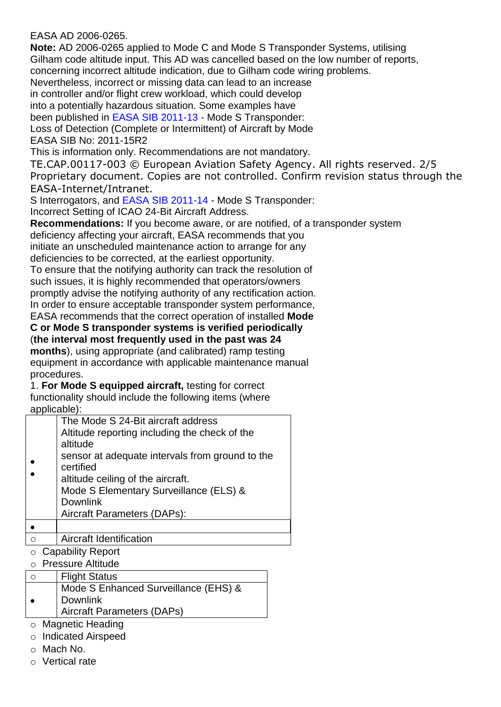## EASA AD 2006-0265.

**Note:** AD 2006-0265 applied to Mode C and Mode S Transponder Systems, utilising Gilham code altitude input. This AD was cancelled based on the low number of reports, concerning incorrect altitude indication, due to Gilham code wiring problems. Nevertheless, incorrect or missing data can lead to an increase

in controller and/or flight crew workload, which could develop

into a potentially hazardous situation. Some examples have

been published in EASA SIB 2011-13 - Mode S Transponder:

Loss of Detection (Complete or Intermittent) of Aircraft by Mode

EASA SIB No: 2011-15R2

This is information only. Recommendations are not mandatory.

TE.CAP.00117-003 © European Aviation Safety Agency. All rights reserved. 2/5 Proprietary document. Copies are not controlled. Confirm revision status through the EASA-Internet/Intranet.

S Interrogators, and EASA SIB 2011-14 - Mode S Transponder:

Incorrect Setting of ICAO 24-Bit Aircraft Address.

**Recommendations:** If you become aware, or are notified, of a transponder system deficiency affecting your aircraft, EASA recommends that you

initiate an unscheduled maintenance action to arrange for any deficiencies to be corrected, at the earliest opportunity.

To ensure that the notifying authority can track the resolution of such issues, it is highly recommended that operators/owners promptly advise the notifying authority of any rectification action. In order to ensure acceptable transponder system performance,

EASA recommends that the correct operation of installed **Mode**

**C or Mode S transponder systems is verified periodically** (**the interval most frequently used in the past was 24**

**months**), using appropriate (and calibrated) ramp testing equipment in accordance with applicable maintenance manual procedures.

1. **For Mode S equipped aircraft,** testing for correct functionality should include the following items (where applicable):

| The Mode S 24-Bit aircraft address              |
|-------------------------------------------------|
| Altitude reporting including the check of the   |
| altitude                                        |
| sensor at adequate intervals from ground to the |
| certified                                       |
| altitude ceiling of the aircraft.               |
| Mode S Elementary Surveillance (ELS) &          |
| <b>Downlink</b>                                 |
| Aircraft Parameters (DAPs):                     |
|                                                 |
| Aircraft Identification                         |

- o Capability Report
- o Pressure Altitude
- o | Flight Status  $\bullet$ Mode S Enhanced Surveillance (EHS) & Downlink Aircraft Parameters (DAPs)
- o Magnetic Heading
- o Indicated Airspeed
- o Mach No.
- o Vertical rate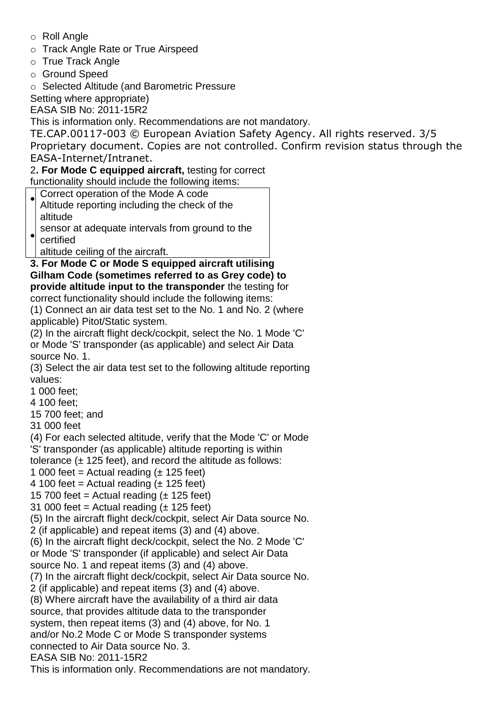- o Roll Angle
- o Track Angle Rate or True Airspeed
- o True Track Angle
- o Ground Speed
- o Selected Altitude (and Barometric Pressure

Setting where appropriate)

EASA SIB No: 2011-15R2

This is information only. Recommendations are not mandatory.

TE.CAP.00117-003 © European Aviation Safety Agency. All rights reserved. 3/5 Proprietary document. Copies are not controlled. Confirm revision status through the EASA-Internet/Intranet.

2**. For Mode C equipped aircraft,** testing for correct functionality should include the following items:

Correct operation of the Mode A code

 $\bullet$ Altitude reporting including the check of the altitude

 $\bullet$ sensor at adequate intervals from ground to the

certified

altitude ceiling of the aircraft.

**3. For Mode C or Mode S equipped aircraft utilising Gilham Code (sometimes referred to as Grey code) to provide altitude input to the transponder** the testing for correct functionality should include the following items:

(1) Connect an air data test set to the No. 1 and No. 2 (where applicable) Pitot/Static system.

(2) In the aircraft flight deck/cockpit, select the No. 1 Mode 'C' or Mode 'S' transponder (as applicable) and select Air Data source No. 1.

(3) Select the air data test set to the following altitude reporting values:

1 000 feet;

4 100 feet;

15 700 feet; and

31 000 feet

(4) For each selected altitude, verify that the Mode 'C' or Mode 'S' transponder (as applicable) altitude reporting is within

tolerance  $(\pm 125$  feet), and record the altitude as follows:

- 1 000 feet = Actual reading  $(\pm 125$  feet)
- 4 100 feet = Actual reading  $(\pm 125$  feet)

15 700 feet = Actual reading  $(\pm 125$  feet)

31 000 feet = Actual reading  $(\pm 125$  feet)

(5) In the aircraft flight deck/cockpit, select Air Data source No.

2 (if applicable) and repeat items (3) and (4) above.

(6) In the aircraft flight deck/cockpit, select the No. 2 Mode 'C'

or Mode 'S' transponder (if applicable) and select Air Data

source No. 1 and repeat items (3) and (4) above.

(7) In the aircraft flight deck/cockpit, select Air Data source No.

2 (if applicable) and repeat items (3) and (4) above.

(8) Where aircraft have the availability of a third air data

source, that provides altitude data to the transponder

system, then repeat items (3) and (4) above, for No. 1

and/or No.2 Mode C or Mode S transponder systems

connected to Air Data source No. 3.

EASA SIB No: 2011-15R2

This is information only. Recommendations are not mandatory.